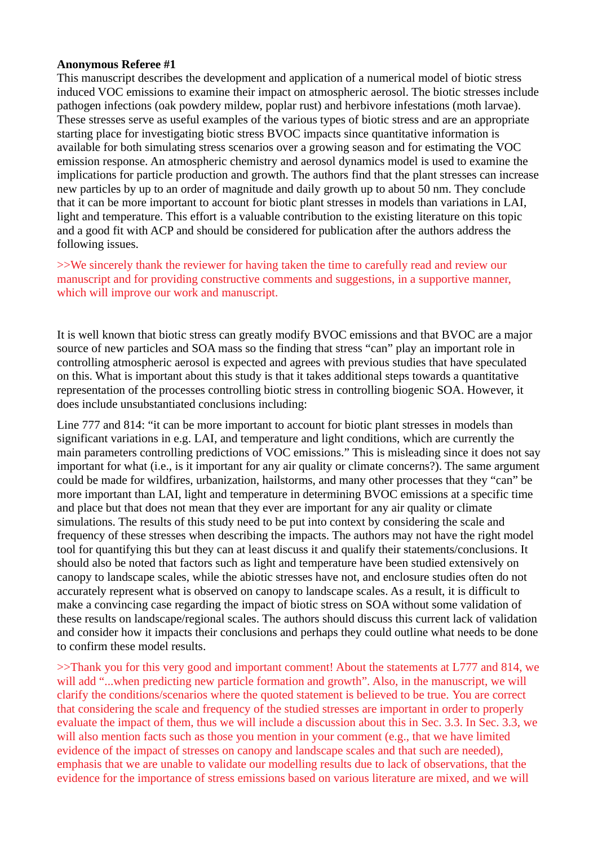## **Anonymous Referee #1**

This manuscript describes the development and application of a numerical model of biotic stress induced VOC emissions to examine their impact on atmospheric aerosol. The biotic stresses include pathogen infections (oak powdery mildew, poplar rust) and herbivore infestations (moth larvae). These stresses serve as useful examples of the various types of biotic stress and are an appropriate starting place for investigating biotic stress BVOC impacts since quantitative information is available for both simulating stress scenarios over a growing season and for estimating the VOC emission response. An atmospheric chemistry and aerosol dynamics model is used to examine the implications for particle production and growth. The authors find that the plant stresses can increase new particles by up to an order of magnitude and daily growth up to about 50 nm. They conclude that it can be more important to account for biotic plant stresses in models than variations in LAI, light and temperature. This effort is a valuable contribution to the existing literature on this topic and a good fit with ACP and should be considered for publication after the authors address the following issues.

>>We sincerely thank the reviewer for having taken the time to carefully read and review our manuscript and for providing constructive comments and suggestions, in a supportive manner, which will improve our work and manuscript.

It is well known that biotic stress can greatly modify BVOC emissions and that BVOC are a major source of new particles and SOA mass so the finding that stress "can" play an important role in controlling atmospheric aerosol is expected and agrees with previous studies that have speculated on this. What is important about this study is that it takes additional steps towards a quantitative representation of the processes controlling biotic stress in controlling biogenic SOA. However, it does include unsubstantiated conclusions including:

Line 777 and 814: "it can be more important to account for biotic plant stresses in models than significant variations in e.g. LAI, and temperature and light conditions, which are currently the main parameters controlling predictions of VOC emissions." This is misleading since it does not say important for what (i.e., is it important for any air quality or climate concerns?). The same argument could be made for wildfires, urbanization, hailstorms, and many other processes that they "can" be more important than LAI, light and temperature in determining BVOC emissions at a specific time and place but that does not mean that they ever are important for any air quality or climate simulations. The results of this study need to be put into context by considering the scale and frequency of these stresses when describing the impacts. The authors may not have the right model tool for quantifying this but they can at least discuss it and qualify their statements/conclusions. It should also be noted that factors such as light and temperature have been studied extensively on canopy to landscape scales, while the abiotic stresses have not, and enclosure studies often do not accurately represent what is observed on canopy to landscape scales. As a result, it is difficult to make a convincing case regarding the impact of biotic stress on SOA without some validation of these results on landscape/regional scales. The authors should discuss this current lack of validation and consider how it impacts their conclusions and perhaps they could outline what needs to be done to confirm these model results.

>>Thank you for this very good and important comment! About the statements at L777 and 814, we will add "...when predicting new particle formation and growth". Also, in the manuscript, we will clarify the conditions/scenarios where the quoted statement is believed to be true. You are correct that considering the scale and frequency of the studied stresses are important in order to properly evaluate the impact of them, thus we will include a discussion about this in Sec. 3.3. In Sec. 3.3, we will also mention facts such as those you mention in your comment (e.g., that we have limited evidence of the impact of stresses on canopy and landscape scales and that such are needed), emphasis that we are unable to validate our modelling results due to lack of observations, that the evidence for the importance of stress emissions based on various literature are mixed, and we will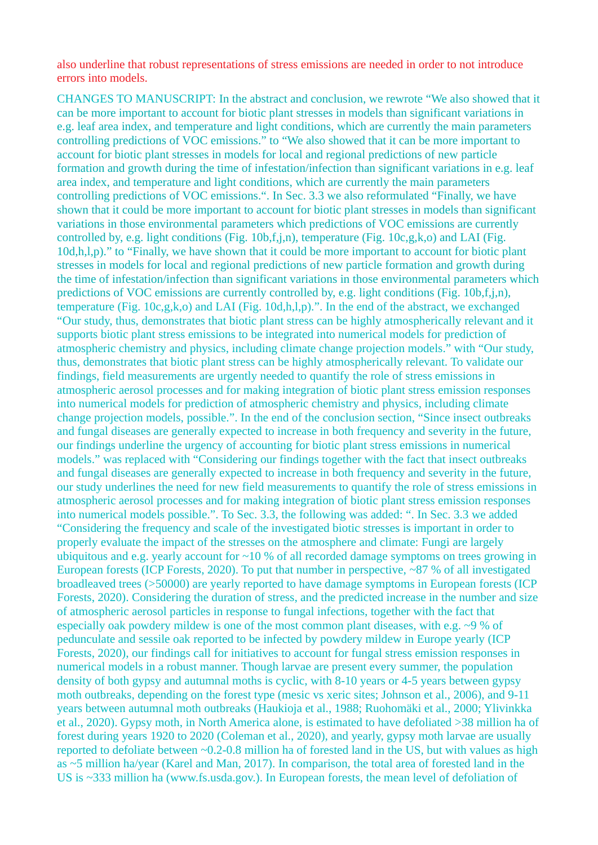also underline that robust representations of stress emissions are needed in order to not introduce errors into models.

CHANGES TO MANUSCRIPT: In the abstract and conclusion, we rewrote "We also showed that it can be more important to account for biotic plant stresses in models than significant variations in e.g. leaf area index, and temperature and light conditions, which are currently the main parameters controlling predictions of VOC emissions." to "We also showed that it can be more important to account for biotic plant stresses in models for local and regional predictions of new particle formation and growth during the time of infestation/infection than significant variations in e.g. leaf area index, and temperature and light conditions, which are currently the main parameters controlling predictions of VOC emissions.". In Sec. 3.3 we also reformulated "Finally, we have shown that it could be more important to account for biotic plant stresses in models than significant variations in those environmental parameters which predictions of VOC emissions are currently controlled by, e.g. light conditions (Fig. 10b,f,j,n), temperature (Fig. 10c,g,k,o) and LAI (Fig. 10d,h,l,p)." to "Finally, we have shown that it could be more important to account for biotic plant stresses in models for local and regional predictions of new particle formation and growth during the time of infestation/infection than significant variations in those environmental parameters which predictions of VOC emissions are currently controlled by, e.g. light conditions (Fig. 10b,f,j,n), temperature (Fig. 10c,g,k,o) and LAI (Fig. 10d,h,l,p).". In the end of the abstract, we exchanged "Our study, thus, demonstrates that biotic plant stress can be highly atmospherically relevant and it supports biotic plant stress emissions to be integrated into numerical models for prediction of atmospheric chemistry and physics, including climate change projection models." with "Our study, thus, demonstrates that biotic plant stress can be highly atmospherically relevant. To validate our findings, field measurements are urgently needed to quantify the role of stress emissions in atmospheric aerosol processes and for making integration of biotic plant stress emission responses into numerical models for prediction of atmospheric chemistry and physics, including climate change projection models, possible.". In the end of the conclusion section, "Since insect outbreaks and fungal diseases are generally expected to increase in both frequency and severity in the future, our findings underline the urgency of accounting for biotic plant stress emissions in numerical models." was replaced with "Considering our findings together with the fact that insect outbreaks and fungal diseases are generally expected to increase in both frequency and severity in the future, our study underlines the need for new field measurements to quantify the role of stress emissions in atmospheric aerosol processes and for making integration of biotic plant stress emission responses into numerical models possible.". To Sec. 3.3, the following was added: ". In Sec. 3.3 we added "Considering the frequency and scale of the investigated biotic stresses is important in order to properly evaluate the impact of the stresses on the atmosphere and climate: Fungi are largely ubiquitous and e.g. yearly account for  $\sim$ 10 % of all recorded damage symptoms on trees growing in European forests (ICP Forests, 2020). To put that number in perspective,  $\sim$ 87 % of all investigated broadleaved trees (>50000) are yearly reported to have damage symptoms in European forests (ICP Forests, 2020). Considering the duration of stress, and the predicted increase in the number and size of atmospheric aerosol particles in response to fungal infections, together with the fact that especially oak powdery mildew is one of the most common plant diseases, with e.g.  $\sim$ 9 % of pedunculate and sessile oak reported to be infected by powdery mildew in Europe yearly (ICP Forests, 2020), our findings call for initiatives to account for fungal stress emission responses in numerical models in a robust manner. Though larvae are present every summer, the population density of both gypsy and autumnal moths is cyclic, with 8-10 years or 4-5 years between gypsy moth outbreaks, depending on the forest type (mesic vs xeric sites; Johnson et al., 2006), and 9-11 years between autumnal moth outbreaks (Haukioja et al., 1988; Ruohomäki et al., 2000; Ylivinkka et al., 2020). Gypsy moth, in North America alone, is estimated to have defoliated >38 million ha of forest during years 1920 to 2020 (Coleman et al., 2020), and yearly, gypsy moth larvae are usually reported to defoliate between ~0.2-0.8 million ha of forested land in the US, but with values as high as ~5 million ha/year (Karel and Man, 2017). In comparison, the total area of forested land in the US is ~333 million ha (www.fs.usda.gov.). In European forests, the mean level of defoliation of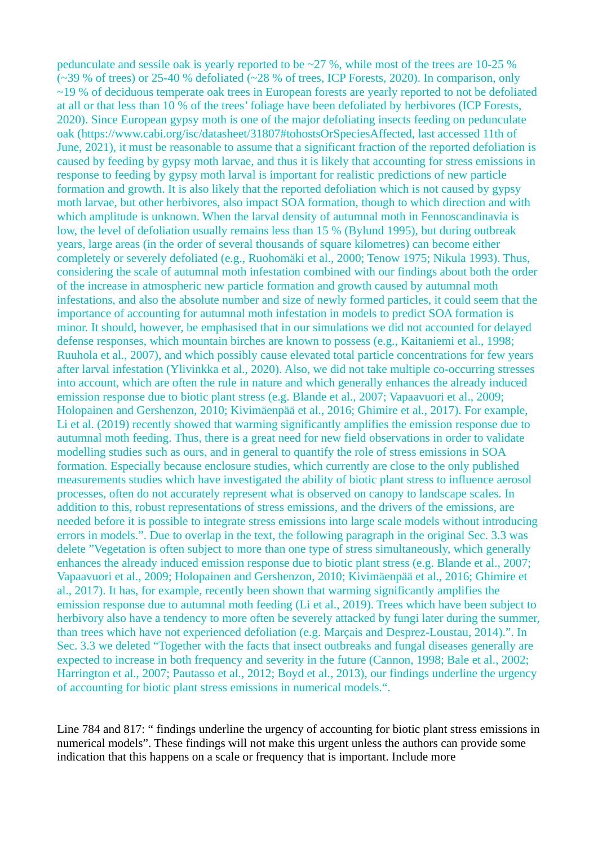pedunculate and sessile oak is yearly reported to be  $\sim$ 27 %, while most of the trees are 10-25 %  $(\sim]39\%$  of trees) or 25-40 % defoliated ( $\sim$ 28 % of trees, ICP Forests, 2020). In comparison, only  $~19$ % of deciduous temperate oak trees in European forests are yearly reported to not be defoliated at all or that less than 10 % of the trees' foliage have been defoliated by herbivores (ICP Forests, 2020). Since European gypsy moth is one of the major defoliating insects feeding on pedunculate oak (https://www.cabi.org/isc/datasheet/31807#tohostsOrSpeciesAffected, last accessed 11th of June, 2021), it must be reasonable to assume that a significant fraction of the reported defoliation is caused by feeding by gypsy moth larvae, and thus it is likely that accounting for stress emissions in response to feeding by gypsy moth larval is important for realistic predictions of new particle formation and growth. It is also likely that the reported defoliation which is not caused by gypsy moth larvae, but other herbivores, also impact SOA formation, though to which direction and with which amplitude is unknown. When the larval density of autumnal moth in Fennoscandinavia is low, the level of defoliation usually remains less than 15 % (Bylund 1995), but during outbreak years, large areas (in the order of several thousands of square kilometres) can become either completely or severely defoliated (e.g., Ruohomäki et al., 2000; Tenow 1975; Nikula 1993). Thus, considering the scale of autumnal moth infestation combined with our findings about both the order of the increase in atmospheric new particle formation and growth caused by autumnal moth infestations, and also the absolute number and size of newly formed particles, it could seem that the importance of accounting for autumnal moth infestation in models to predict SOA formation is minor. It should, however, be emphasised that in our simulations we did not accounted for delayed defense responses, which mountain birches are known to possess (e.g., Kaitaniemi et al., 1998; Ruuhola et al., 2007), and which possibly cause elevated total particle concentrations for few years after larval infestation (Ylivinkka et al., 2020). Also, we did not take multiple co-occurring stresses into account, which are often the rule in nature and which generally enhances the already induced emission response due to biotic plant stress (e.g. Blande et al., 2007; Vapaavuori et al., 2009; Holopainen and Gershenzon, 2010; Kivimäenpää et al., 2016; Ghimire et al., 2017). For example, Li et al. (2019) recently showed that warming significantly amplifies the emission response due to autumnal moth feeding. Thus, there is a great need for new field observations in order to validate modelling studies such as ours, and in general to quantify the role of stress emissions in SOA formation. Especially because enclosure studies, which currently are close to the only published measurements studies which have investigated the ability of biotic plant stress to influence aerosol processes, often do not accurately represent what is observed on canopy to landscape scales. In addition to this, robust representations of stress emissions, and the drivers of the emissions, are needed before it is possible to integrate stress emissions into large scale models without introducing errors in models.". Due to overlap in the text, the following paragraph in the original Sec. 3.3 was delete "Vegetation is often subject to more than one type of stress simultaneously, which generally enhances the already induced emission response due to biotic plant stress (e.g. Blande et al., 2007; Vapaavuori et al., 2009; Holopainen and Gershenzon, 2010; Kivimäenpää et al., 2016; Ghimire et al., 2017). It has, for example, recently been shown that warming significantly amplifies the emission response due to autumnal moth feeding (Li et al., 2019). Trees which have been subject to herbivory also have a tendency to more often be severely attacked by fungi later during the summer, than trees which have not experienced defoliation (e.g. Marçais and Desprez-Loustau, 2014).". In Sec. 3.3 we deleted "Together with the facts that insect outbreaks and fungal diseases generally are expected to increase in both frequency and severity in the future (Cannon, 1998; Bale et al., 2002; Harrington et al., 2007; Pautasso et al., 2012; Boyd et al., 2013), our findings underline the urgency of accounting for biotic plant stress emissions in numerical models.".

Line 784 and 817: " findings underline the urgency of accounting for biotic plant stress emissions in numerical models". These findings will not make this urgent unless the authors can provide some indication that this happens on a scale or frequency that is important. Include more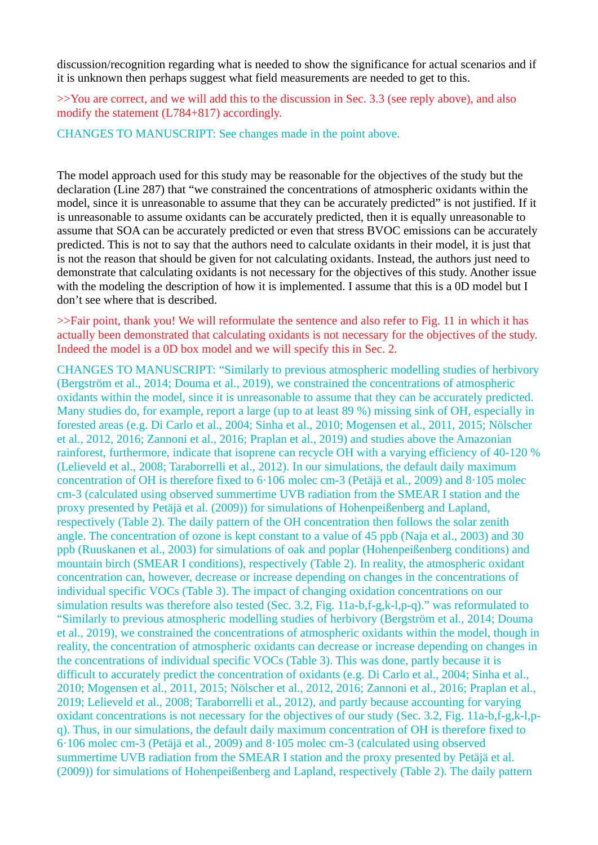discussion/recognition regarding what is needed to show the significance for actual scenarios and if it is unknown then perhaps suggest what field measurements are needed to get to this.

>>You are correct, and we will add this to the discussion in Sec. 3.3 (see reply above), and also modify the statement (L784+817) accordingly.

CHANGES TO MANUSCRIPT: See changes made in the point above.

The model approach used for this study may be reasonable for the objectives of the study but the declaration (Line 287) that "we constrained the concentrations of atmospheric oxidants within the model, since it is unreasonable to assume that they can be accurately predicted" is not justified. If it is unreasonable to assume oxidants can be accurately predicted, then it is equally unreasonable to assume that SOA can be accurately predicted or even that stress BVOC emissions can be accurately predicted. This is not to say that the authors need to calculate oxidants in their model, it is just that is not the reason that should be given for not calculating oxidants. Instead, the authors just need to demonstrate that calculating oxidants is not necessary for the objectives of this study. Another issue with the modeling the description of how it is implemented. I assume that this is a 0D model but I don't see where that is described.

>>Fair point, thank you! We will reformulate the sentence and also refer to Fig. 11 in which it has actually been demonstrated that calculating oxidants is not necessary for the objectives of the study. Indeed the model is a 0D box model and we will specify this in Sec. 2.

CHANGES TO MANUSCRIPT: "Similarly to previous atmospheric modelling studies of herbivory (Bergström et al., 2014; Douma et al., 2019), we constrained the concentrations of atmospheric oxidants within the model, since it is unreasonable to assume that they can be accurately predicted. Many studies do, for example, report a large (up to at least 89 %) missing sink of OH, especially in forested areas (e.g. Di Carlo et al., 2004; Sinha et al., 2010; Mogensen et al., 2011, 2015; Nölscher et al., 2012, 2016; Zannoni et al., 2016; Praplan et al., 2019) and studies above the Amazonian rainforest, furthermore, indicate that isoprene can recycle OH with a varying efficiency of 40-120 % (Lelieveld et al., 2008; Taraborrelli et al., 2012). In our simulations, the default daily maximum concentration of OH is therefore fixed to 6·106 molec cm-3 (Petäjä et al., 2009) and 8·105 molec cm-3 (calculated using observed summertime UVB radiation from the SMEAR I station and the proxy presented by Petäjä et al. (2009)) for simulations of Hohenpeißenberg and Lapland, respectively (Table 2). The daily pattern of the OH concentration then follows the solar zenith angle. The concentration of ozone is kept constant to a value of 45 ppb (Naja et al., 2003) and 30 ppb (Ruuskanen et al., 2003) for simulations of oak and poplar (Hohenpeißenberg conditions) and mountain birch (SMEAR I conditions), respectively (Table 2). In reality, the atmospheric oxidant concentration can, however, decrease or increase depending on changes in the concentrations of individual specific VOCs (Table 3). The impact of changing oxidation concentrations on our simulation results was therefore also tested (Sec. 3.2, Fig. 11a-b,f-g,k-l,p-q)." was reformulated to "Similarly to previous atmospheric modelling studies of herbivory (Bergström et al., 2014; Douma et al., 2019), we constrained the concentrations of atmospheric oxidants within the model, though in reality, the concentration of atmospheric oxidants can decrease or increase depending on changes in the concentrations of individual specific VOCs (Table 3). This was done, partly because it is difficult to accurately predict the concentration of oxidants (e.g. Di Carlo et al., 2004; Sinha et al., 2010; Mogensen et al., 2011, 2015; Nölscher et al., 2012, 2016; Zannoni et al., 2016; Praplan et al., 2019; Lelieveld et al., 2008; Taraborrelli et al., 2012), and partly because accounting for varying oxidant concentrations is not necessary for the objectives of our study (Sec. 3.2, Fig. 11a-b,f-g,k-l,pq). Thus, in our simulations, the default daily maximum concentration of OH is therefore fixed to 6·106 molec cm-3 (Petäjä et al., 2009) and 8·105 molec cm-3 (calculated using observed summertime UVB radiation from the SMEAR I station and the proxy presented by Petäjä et al. (2009)) for simulations of Hohenpeißenberg and Lapland, respectively (Table 2). The daily pattern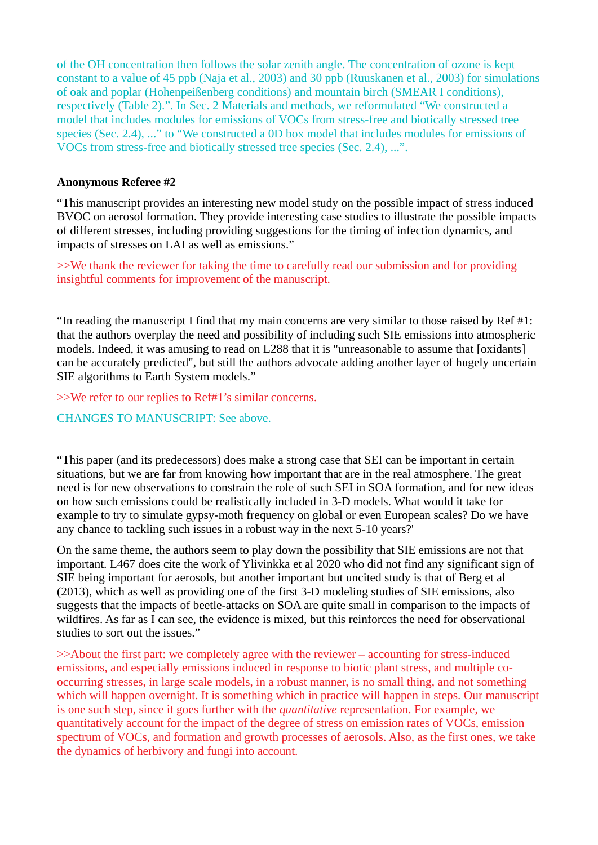of the OH concentration then follows the solar zenith angle. The concentration of ozone is kept constant to a value of 45 ppb (Naja et al., 2003) and 30 ppb (Ruuskanen et al., 2003) for simulations of oak and poplar (Hohenpeißenberg conditions) and mountain birch (SMEAR I conditions), respectively (Table 2).". In Sec. 2 Materials and methods, we reformulated "We constructed a model that includes modules for emissions of VOCs from stress-free and biotically stressed tree species (Sec. 2.4), ..." to "We constructed a 0D box model that includes modules for emissions of VOCs from stress-free and biotically stressed tree species (Sec. 2.4), ...".

## **Anonymous Referee #2**

"This manuscript provides an interesting new model study on the possible impact of stress induced BVOC on aerosol formation. They provide interesting case studies to illustrate the possible impacts of different stresses, including providing suggestions for the timing of infection dynamics, and impacts of stresses on LAI as well as emissions."

>>We thank the reviewer for taking the time to carefully read our submission and for providing insightful comments for improvement of the manuscript.

"In reading the manuscript I find that my main concerns are very similar to those raised by Ref #1: that the authors overplay the need and possibility of including such SIE emissions into atmospheric models. Indeed, it was amusing to read on L288 that it is "unreasonable to assume that [oxidants] can be accurately predicted", but still the authors advocate adding another layer of hugely uncertain SIE algorithms to Earth System models."

>>We refer to our replies to Ref#1's similar concerns.

CHANGES TO MANUSCRIPT: See above.

"This paper (and its predecessors) does make a strong case that SEI can be important in certain situations, but we are far from knowing how important that are in the real atmosphere. The great need is for new observations to constrain the role of such SEI in SOA formation, and for new ideas on how such emissions could be realistically included in 3-D models. What would it take for example to try to simulate gypsy-moth frequency on global or even European scales? Do we have any chance to tackling such issues in a robust way in the next 5-10 years?'

On the same theme, the authors seem to play down the possibility that SIE emissions are not that important. L467 does cite the work of Ylivinkka et al 2020 who did not find any significant sign of SIE being important for aerosols, but another important but uncited study is that of Berg et al (2013), which as well as providing one of the first 3-D modeling studies of SIE emissions, also suggests that the impacts of beetle-attacks on SOA are quite small in comparison to the impacts of wildfires. As far as I can see, the evidence is mixed, but this reinforces the need for observational studies to sort out the issues."

>>About the first part: we completely agree with the reviewer – accounting for stress-induced emissions, and especially emissions induced in response to biotic plant stress, and multiple cooccurring stresses, in large scale models, in a robust manner, is no small thing, and not something which will happen overnight. It is something which in practice will happen in steps. Our manuscript is one such step, since it goes further with the *quantitative* representation. For example, we quantitatively account for the impact of the degree of stress on emission rates of VOCs, emission spectrum of VOCs, and formation and growth processes of aerosols. Also, as the first ones, we take the dynamics of herbivory and fungi into account.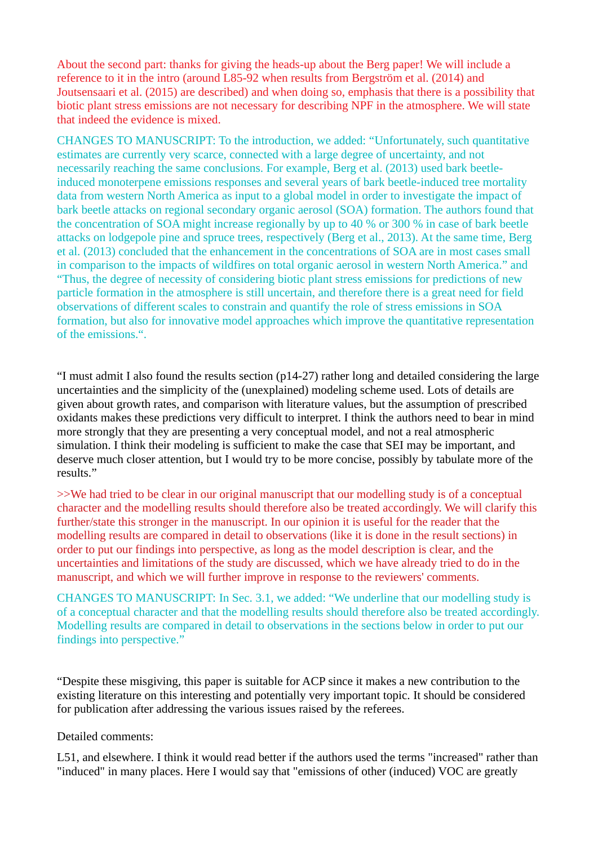About the second part: thanks for giving the heads-up about the Berg paper! We will include a reference to it in the intro (around L85-92 when results from Bergström et al. (2014) and Joutsensaari et al. (2015) are described) and when doing so, emphasis that there is a possibility that biotic plant stress emissions are not necessary for describing NPF in the atmosphere. We will state that indeed the evidence is mixed.

CHANGES TO MANUSCRIPT: To the introduction, we added: "Unfortunately, such quantitative estimates are currently very scarce, connected with a large degree of uncertainty, and not necessarily reaching the same conclusions. For example, Berg et al. (2013) used bark beetleinduced monoterpene emissions responses and several years of bark beetle-induced tree mortality data from western North America as input to a global model in order to investigate the impact of bark beetle attacks on regional secondary organic aerosol (SOA) formation. The authors found that the concentration of SOA might increase regionally by up to 40 % or 300 % in case of bark beetle attacks on lodgepole pine and spruce trees, respectively (Berg et al., 2013). At the same time, Berg et al. (2013) concluded that the enhancement in the concentrations of SOA are in most cases small in comparison to the impacts of wildfires on total organic aerosol in western North America." and "Thus, the degree of necessity of considering biotic plant stress emissions for predictions of new particle formation in the atmosphere is still uncertain, and therefore there is a great need for field observations of different scales to constrain and quantify the role of stress emissions in SOA formation, but also for innovative model approaches which improve the quantitative representation of the emissions.".

"I must admit I also found the results section (p14-27) rather long and detailed considering the large uncertainties and the simplicity of the (unexplained) modeling scheme used. Lots of details are given about growth rates, and comparison with literature values, but the assumption of prescribed oxidants makes these predictions very difficult to interpret. I think the authors need to bear in mind more strongly that they are presenting a very conceptual model, and not a real atmospheric simulation. I think their modeling is sufficient to make the case that SEI may be important, and deserve much closer attention, but I would try to be more concise, possibly by tabulate more of the results."

>>We had tried to be clear in our original manuscript that our modelling study is of a conceptual character and the modelling results should therefore also be treated accordingly. We will clarify this further/state this stronger in the manuscript. In our opinion it is useful for the reader that the modelling results are compared in detail to observations (like it is done in the result sections) in order to put our findings into perspective, as long as the model description is clear, and the uncertainties and limitations of the study are discussed, which we have already tried to do in the manuscript, and which we will further improve in response to the reviewers' comments.

CHANGES TO MANUSCRIPT: In Sec. 3.1, we added: "We underline that our modelling study is of a conceptual character and that the modelling results should therefore also be treated accordingly. Modelling results are compared in detail to observations in the sections below in order to put our findings into perspective."

"Despite these misgiving, this paper is suitable for ACP since it makes a new contribution to the existing literature on this interesting and potentially very important topic. It should be considered for publication after addressing the various issues raised by the referees.

## Detailed comments:

L51, and elsewhere. I think it would read better if the authors used the terms "increased" rather than "induced" in many places. Here I would say that "emissions of other (induced) VOC are greatly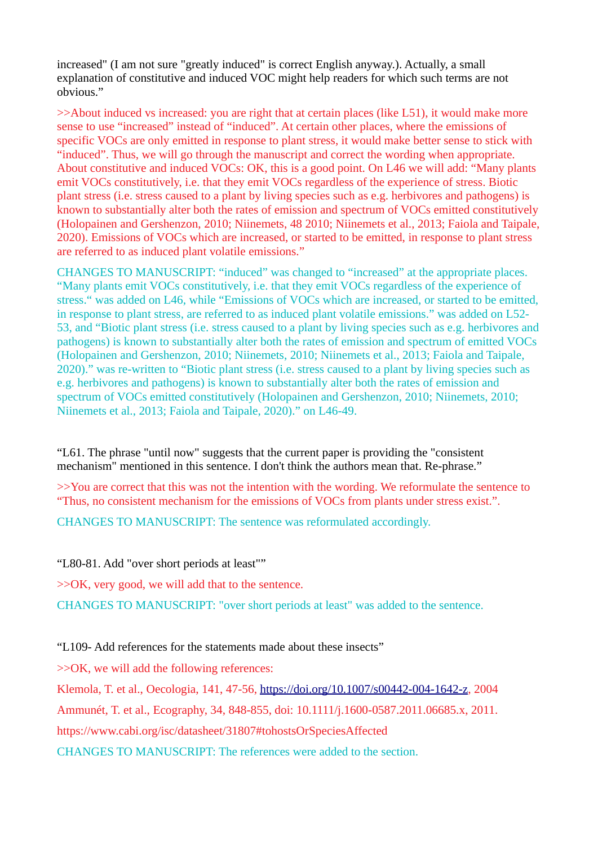increased" (I am not sure "greatly induced" is correct English anyway.). Actually, a small explanation of constitutive and induced VOC might help readers for which such terms are not obvious."

>>About induced vs increased: you are right that at certain places (like L51), it would make more sense to use "increased" instead of "induced". At certain other places, where the emissions of specific VOCs are only emitted in response to plant stress, it would make better sense to stick with "induced". Thus, we will go through the manuscript and correct the wording when appropriate. About constitutive and induced VOCs: OK, this is a good point. On L46 we will add: "Many plants emit VOCs constitutively, i.e. that they emit VOCs regardless of the experience of stress. Biotic plant stress (i.e. stress caused to a plant by living species such as e.g. herbivores and pathogens) is known to substantially alter both the rates of emission and spectrum of VOCs emitted constitutively (Holopainen and Gershenzon, 2010; Niinemets, 48 2010; Niinemets et al., 2013; Faiola and Taipale, 2020). Emissions of VOCs which are increased, or started to be emitted, in response to plant stress are referred to as induced plant volatile emissions."

CHANGES TO MANUSCRIPT: "induced" was changed to "increased" at the appropriate places. "Many plants emit VOCs constitutively, i.e. that they emit VOCs regardless of the experience of stress." was added on L46, while "Emissions of VOCs which are increased, or started to be emitted, in response to plant stress, are referred to as induced plant volatile emissions." was added on L52- 53, and "Biotic plant stress (i.e. stress caused to a plant by living species such as e.g. herbivores and pathogens) is known to substantially alter both the rates of emission and spectrum of emitted VOCs (Holopainen and Gershenzon, 2010; Niinemets, 2010; Niinemets et al., 2013; Faiola and Taipale, 2020)." was re-written to "Biotic plant stress (i.e. stress caused to a plant by living species such as e.g. herbivores and pathogens) is known to substantially alter both the rates of emission and spectrum of VOCs emitted constitutively (Holopainen and Gershenzon, 2010; Niinemets, 2010; Niinemets et al., 2013; Faiola and Taipale, 2020)." on L46-49.

"L61. The phrase "until now" suggests that the current paper is providing the "consistent mechanism" mentioned in this sentence. I don't think the authors mean that. Re-phrase."

>>You are correct that this was not the intention with the wording. We reformulate the sentence to "Thus, no consistent mechanism for the emissions of VOCs from plants under stress exist.".

CHANGES TO MANUSCRIPT: The sentence was reformulated accordingly.

"L80-81. Add "over short periods at least""

>>OK, very good, we will add that to the sentence.

CHANGES TO MANUSCRIPT: "over short periods at least" was added to the sentence.

"L109- Add references for the statements made about these insects"

>>OK, we will add the following references:

Klemola, T. et al., Oecologia, 141, 47-56, [https://doi.org/10.1007/s00442-004-1642-z,](https://doi.org/10.1007/s00442-004-1642-z) 2004 Ammunét, T. et al., Ecography, 34, 848-855, doi: 10.1111/j.1600-0587.2011.06685.x, 2011. https://www.cabi.org/isc/datasheet/31807#tohostsOrSpeciesAffected CHANGES TO MANUSCRIPT: The references were added to the section.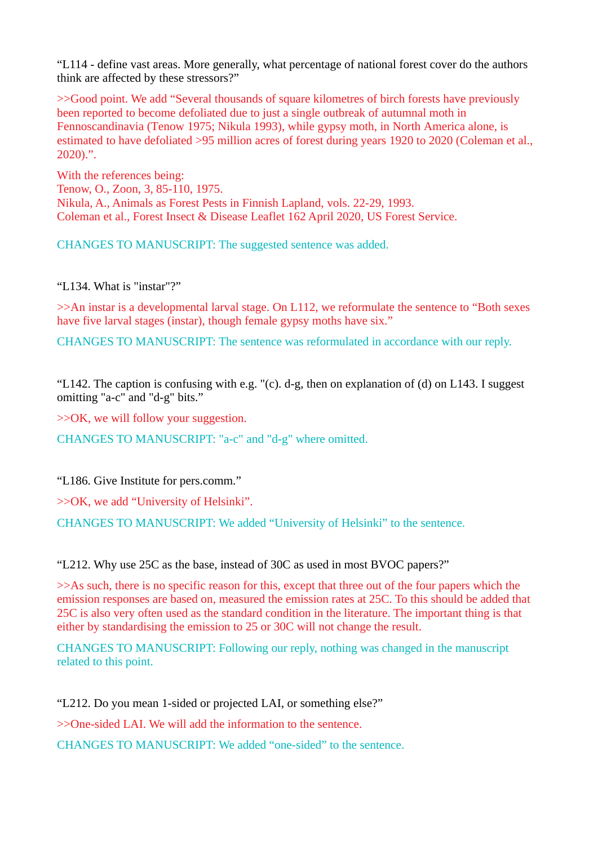"L114 - define vast areas. More generally, what percentage of national forest cover do the authors think are affected by these stressors?"

>>Good point. We add "Several thousands of square kilometres of birch forests have previously been reported to become defoliated due to just a single outbreak of autumnal moth in Fennoscandinavia (Tenow 1975; Nikula 1993), while gypsy moth, in North America alone, is estimated to have defoliated >95 million acres of forest during years 1920 to 2020 (Coleman et al., 2020).".

With the references being: Tenow, O., Zoon, 3, 85-110, 1975. Nikula, A., Animals as Forest Pests in Finnish Lapland, vols. 22-29, 1993. Coleman et al., Forest Insect & Disease Leaflet 162 April 2020, US Forest Service.

CHANGES TO MANUSCRIPT: The suggested sentence was added.

"L134. What is "instar"?"

>>An instar is a developmental larval stage. On L112, we reformulate the sentence to "Both sexes have five larval stages (instar), though female gypsy moths have six."

CHANGES TO MANUSCRIPT: The sentence was reformulated in accordance with our reply.

"L142. The caption is confusing with e.g. "(c). d-g, then on explanation of (d) on L143. I suggest omitting "a-c" and "d-g" bits."

>>OK, we will follow your suggestion.

CHANGES TO MANUSCRIPT: "a-c" and "d-g" where omitted.

"L186. Give Institute for pers.comm."

>>OK, we add "University of Helsinki".

CHANGES TO MANUSCRIPT: We added "University of Helsinki" to the sentence.

"L212. Why use 25C as the base, instead of 30C as used in most BVOC papers?"

>>As such, there is no specific reason for this, except that three out of the four papers which the emission responses are based on, measured the emission rates at 25C. To this should be added that 25C is also very often used as the standard condition in the literature. The important thing is that either by standardising the emission to 25 or 30C will not change the result.

CHANGES TO MANUSCRIPT: Following our reply, nothing was changed in the manuscript related to this point.

"L212. Do you mean 1-sided or projected LAI, or something else?"

>>One-sided LAI. We will add the information to the sentence.

CHANGES TO MANUSCRIPT: We added "one-sided" to the sentence.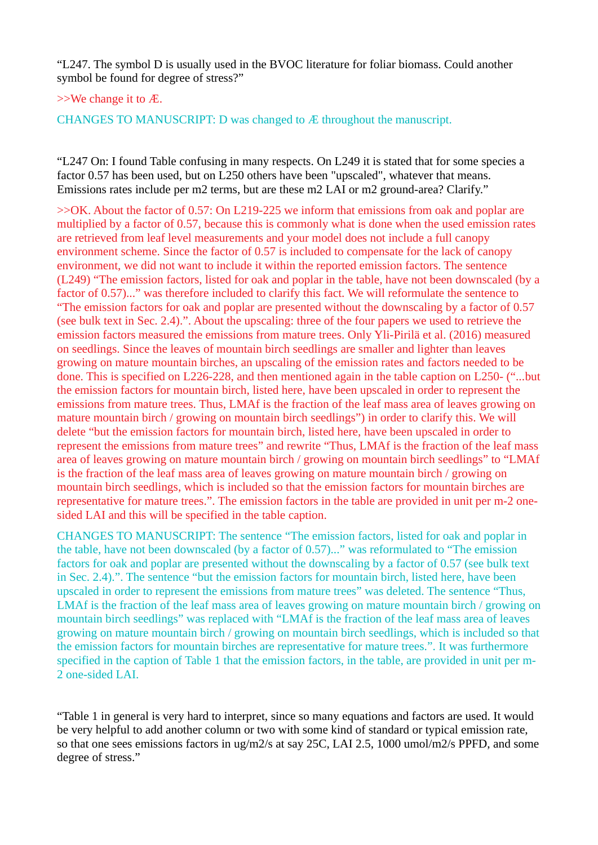"L247. The symbol D is usually used in the BVOC literature for foliar biomass. Could another symbol be found for degree of stress?"

>>We change it to Æ.

CHANGES TO MANUSCRIPT: D was changed to Æ throughout the manuscript.

"L247 On: I found Table confusing in many respects. On L249 it is stated that for some species a factor 0.57 has been used, but on L250 others have been "upscaled", whatever that means. Emissions rates include per m2 terms, but are these m2 LAI or m2 ground-area? Clarify."

>>OK. About the factor of 0.57: On L219-225 we inform that emissions from oak and poplar are multiplied by a factor of 0.57, because this is commonly what is done when the used emission rates are retrieved from leaf level measurements and your model does not include a full canopy environment scheme. Since the factor of 0.57 is included to compensate for the lack of canopy environment, we did not want to include it within the reported emission factors. The sentence (L249) "The emission factors, listed for oak and poplar in the table, have not been downscaled (by a factor of 0.57)..." was therefore included to clarify this fact. We will reformulate the sentence to "The emission factors for oak and poplar are presented without the downscaling by a factor of 0.57 (see bulk text in Sec. 2.4).". About the upscaling: three of the four papers we used to retrieve the emission factors measured the emissions from mature trees. Only Yli-Pirilä et al. (2016) measured on seedlings. Since the leaves of mountain birch seedlings are smaller and lighter than leaves growing on mature mountain birches, an upscaling of the emission rates and factors needed to be done. This is specified on L226-228, and then mentioned again in the table caption on L250- ("...but the emission factors for mountain birch, listed here, have been upscaled in order to represent the emissions from mature trees. Thus, LMAf is the fraction of the leaf mass area of leaves growing on mature mountain birch / growing on mountain birch seedlings") in order to clarify this. We will delete "but the emission factors for mountain birch, listed here, have been upscaled in order to represent the emissions from mature trees" and rewrite "Thus, LMAf is the fraction of the leaf mass area of leaves growing on mature mountain birch / growing on mountain birch seedlings" to "LMAf is the fraction of the leaf mass area of leaves growing on mature mountain birch / growing on mountain birch seedlings, which is included so that the emission factors for mountain birches are representative for mature trees.". The emission factors in the table are provided in unit per m-2 onesided LAI and this will be specified in the table caption.

CHANGES TO MANUSCRIPT: The sentence "The emission factors, listed for oak and poplar in the table, have not been downscaled (by a factor of 0.57)..." was reformulated to "The emission factors for oak and poplar are presented without the downscaling by a factor of 0.57 (see bulk text in Sec. 2.4).". The sentence "but the emission factors for mountain birch, listed here, have been upscaled in order to represent the emissions from mature trees" was deleted. The sentence "Thus, LMAf is the fraction of the leaf mass area of leaves growing on mature mountain birch / growing on mountain birch seedlings" was replaced with "LMAf is the fraction of the leaf mass area of leaves growing on mature mountain birch / growing on mountain birch seedlings, which is included so that the emission factors for mountain birches are representative for mature trees.". It was furthermore specified in the caption of Table 1 that the emission factors, in the table, are provided in unit per m-2 one-sided LAI.

"Table 1 in general is very hard to interpret, since so many equations and factors are used. It would be very helpful to add another column or two with some kind of standard or typical emission rate, so that one sees emissions factors in ug/m2/s at say 25C, LAI 2.5, 1000 umol/m2/s PPFD, and some degree of stress."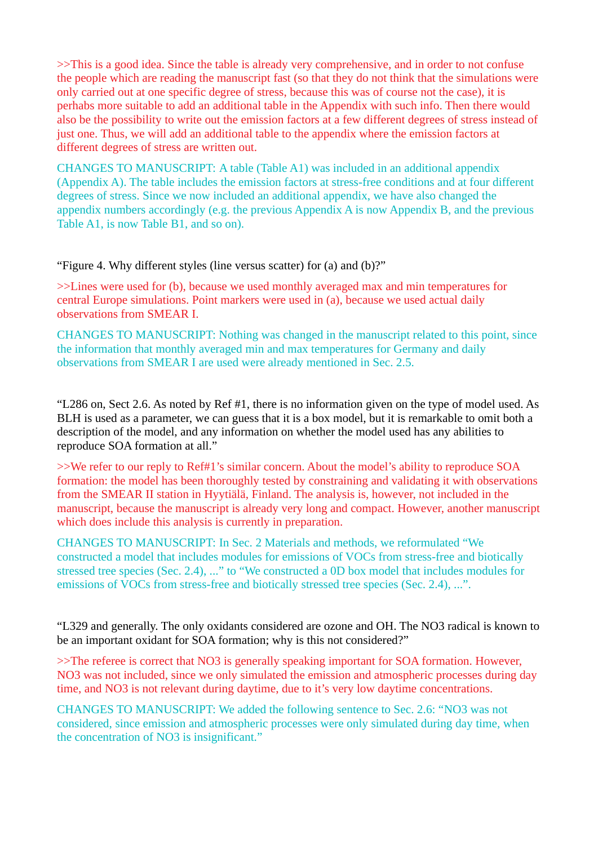>>This is a good idea. Since the table is already very comprehensive, and in order to not confuse the people which are reading the manuscript fast (so that they do not think that the simulations were only carried out at one specific degree of stress, because this was of course not the case), it is perhabs more suitable to add an additional table in the Appendix with such info. Then there would also be the possibility to write out the emission factors at a few different degrees of stress instead of just one. Thus, we will add an additional table to the appendix where the emission factors at different degrees of stress are written out.

CHANGES TO MANUSCRIPT: A table (Table A1) was included in an additional appendix (Appendix A). The table includes the emission factors at stress-free conditions and at four different degrees of stress. Since we now included an additional appendix, we have also changed the appendix numbers accordingly (e.g. the previous Appendix A is now Appendix B, and the previous Table A1, is now Table B1, and so on).

"Figure 4. Why different styles (line versus scatter) for (a) and (b)?"

>>Lines were used for (b), because we used monthly averaged max and min temperatures for central Europe simulations. Point markers were used in (a), because we used actual daily observations from SMEAR I.

CHANGES TO MANUSCRIPT: Nothing was changed in the manuscript related to this point, since the information that monthly averaged min and max temperatures for Germany and daily observations from SMEAR I are used were already mentioned in Sec. 2.5.

"L286 on, Sect 2.6. As noted by Ref #1, there is no information given on the type of model used. As BLH is used as a parameter, we can guess that it is a box model, but it is remarkable to omit both a description of the model, and any information on whether the model used has any abilities to reproduce SOA formation at all."

>>We refer to our reply to Ref#1's similar concern. About the model's ability to reproduce SOA formation: the model has been thoroughly tested by constraining and validating it with observations from the SMEAR II station in Hyytiälä, Finland. The analysis is, however, not included in the manuscript, because the manuscript is already very long and compact. However, another manuscript which does include this analysis is currently in preparation.

CHANGES TO MANUSCRIPT: In Sec. 2 Materials and methods, we reformulated "We constructed a model that includes modules for emissions of VOCs from stress-free and biotically stressed tree species (Sec. 2.4), ..." to "We constructed a 0D box model that includes modules for emissions of VOCs from stress-free and biotically stressed tree species (Sec. 2.4), ...".

"L329 and generally. The only oxidants considered are ozone and OH. The NO3 radical is known to be an important oxidant for SOA formation; why is this not considered?"

>>The referee is correct that NO3 is generally speaking important for SOA formation. However, NO3 was not included, since we only simulated the emission and atmospheric processes during day time, and NO3 is not relevant during daytime, due to it's very low daytime concentrations.

CHANGES TO MANUSCRIPT: We added the following sentence to Sec. 2.6: "NO3 was not considered, since emission and atmospheric processes were only simulated during day time, when the concentration of NO3 is insignificant."